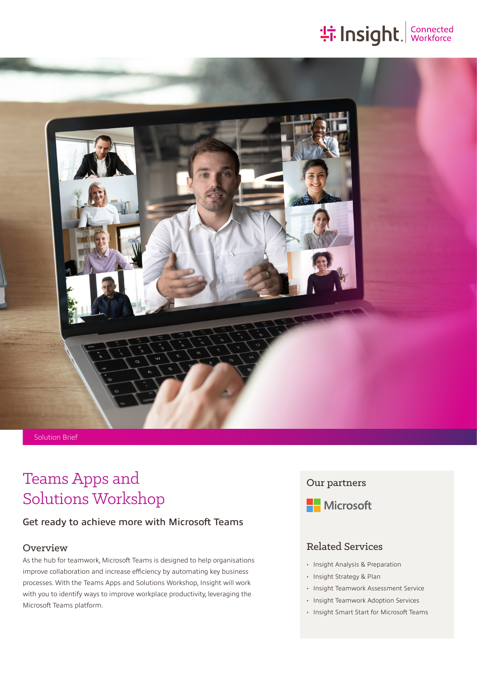# **: insight. Connected**



## Teams Apps and Solutions Workshop

#### Get ready to achieve more with Microsoft Teams

#### Overview

As the hub for teamwork, Microsoft Teams is designed to help organisations improve collaboration and increase efficiency by automating key business processes. With the Teams Apps and Solutions Workshop, Insight will work with you to identify ways to improve workplace productivity, leveraging the Microsoft Teams platform.

#### Our partners



#### Related Services

- Insight Analysis & Preparation
- Insight Strategy & Plan
- Insight Teamwork Assessment Service
- Insight Teamwork Adoption Services
- Insight Smart Start for Microsoft Teams